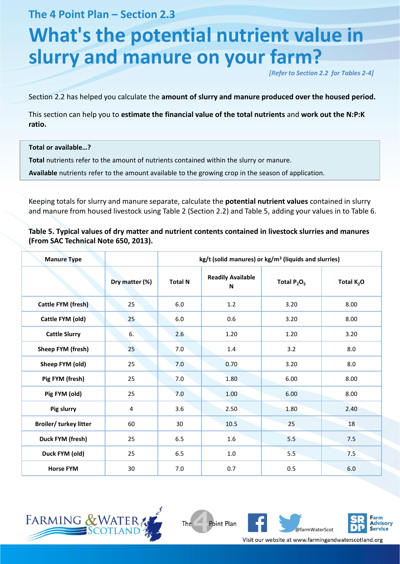**The 4 Point Plan – Section 2.3**

# **What's the potential nutrient value in slurry and manure on your farm?**

*[Refer to Section 2.2 for Tables 2-4]*

Section 2.2 has helped you calculate the **amount of slurry and manure produced over the housed period.** 

This section can help you to **estimate the financial value of the total nutrients** and **work out the N:P:K ratio.**

#### **Total or available…?**

**Total** nutrients refer to the amount of nutrients contained within the slurry or manure.

**Available** nutrients refer to the amount available to the growing crop in the season of application.

Keeping totals for slurry and manure separate, calculate the **potential nutrient values** contained in slurry and manure from housed livestock using Table 2 (Section 2.2) and Table 5, adding your values in to Table 6.

**Table 5. Typical values of dry matter and nutrient contents contained in livestock slurries and manures (From SAC Technical Note 650, 2013).**

| <b>Manure Type</b>            |                | $kg/t$ (solid manures) or $kg/m3$ (liquids and slurries) |                               |                |              |  |  |
|-------------------------------|----------------|----------------------------------------------------------|-------------------------------|----------------|--------------|--|--|
|                               | Dry matter (%) | <b>Total N</b>                                           | <b>Readily Available</b><br>N | Total $P_2O_5$ | Total $K_2O$ |  |  |
| <b>Cattle FYM (fresh)</b>     | 25             | 6.0                                                      | 1.2                           | 3.20           | 8.00         |  |  |
| Cattle FYM (old)              | 25             | 6.0                                                      | 0.6                           | 3.20           | 8.00         |  |  |
| <b>Cattle Slurry</b>          | 6.             | 2.6                                                      | 1.20                          | 1.20           | 3.20         |  |  |
| Sheep FYM (fresh)             | 25             | 7.0                                                      | 1.4                           | 3.2            | 8.0          |  |  |
| Sheep FYM (old)               | 25             | 7.0                                                      | 0.70                          | 3.20           | 8.0          |  |  |
| Pig FYM (fresh)               | 25             | 7.0                                                      | 1.80                          | 6.00           | 8.00         |  |  |
| Pig FYM (old)                 | 25             | 7.0                                                      | 1.00                          | 6.00           | 8.00         |  |  |
| Pig slurry                    | 4              | 3.6                                                      | 2.50                          | 1.80           | 2.40         |  |  |
| <b>Broiler/ turkey litter</b> | 60             | 30                                                       | 10.5                          | 25             | 18           |  |  |
| Duck FYM (fresh)              | 25             | 6.5                                                      | 1.6                           | 5.5            | 7.5          |  |  |
| Duck FYM (old)                | 25             | 6.5                                                      | 1.0                           | 5.5            | 7.5          |  |  |
| <b>Horse FYM</b>              | 30             | 7.0                                                      | 0.7                           | 0.5            | 6.0          |  |  |



The Point Plan



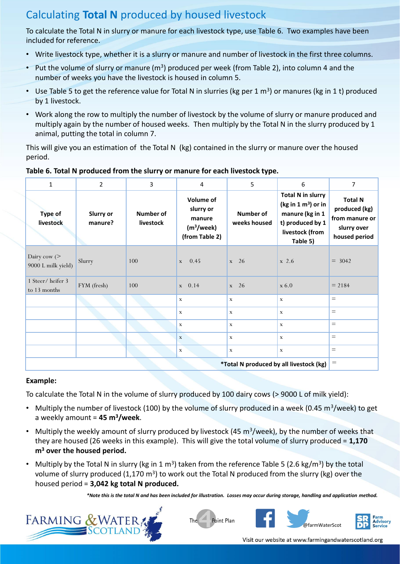## Calculating **Total N** produced by housed livestock

To calculate the Total N in slurry or manure for each livestock type, use Table 6. Two examples have been included for reference.

- Write livestock type, whether it is a slurry or manure and number of livestock in the first three columns.
- Put the volume of slurry or manure ( $m<sup>3</sup>$ ) produced per week (from Table 2), into column 4 and the number of weeks you have the livestock is housed in column 5.
- Use Table 5 to get the reference value for Total N in slurries (kg per 1  $m^3$ ) or manures (kg in 1 t) produced by 1 livestock.
- Work along the row to multiply the number of livestock by the volume of slurry or manure produced and multiply again by the number of housed weeks. Then multiply by the Total N in the slurry produced by 1 animal, putting the total in column 7.

This will give you an estimation of the Total N (kg) contained in the slurry or manure over the housed period.

| $\mathbf{1}$                            | $\overline{2}$              | 3                      | 4                                                                            | 5                         | 6                                                                                                                                | 7                                                                                 |  |
|-----------------------------------------|-----------------------------|------------------------|------------------------------------------------------------------------------|---------------------------|----------------------------------------------------------------------------------------------------------------------------------|-----------------------------------------------------------------------------------|--|
| Type of<br><b>livestock</b>             | <b>Slurry or</b><br>manure? | Number of<br>livestock | Volume of<br>slurry or<br>manure<br>(m <sup>3</sup> /week)<br>(from Table 2) | Number of<br>weeks housed | <b>Total N in slurry</b><br>(kg in $1 \text{ m}^3$ ) or in<br>manure (kg in 1<br>t) produced by 1<br>livestock (from<br>Table 5) | <b>Total N</b><br>produced (kg)<br>from manure or<br>slurry over<br>housed period |  |
| Dairy cow $($<br>9000 L milk yield)     | Slurry                      | 100                    | 0.45<br>$\mathbf{x}$                                                         | $\mathbf{x}$ 26           | $x\,2.6$                                                                                                                         | $= 3042$                                                                          |  |
| 1 Steer/heifer 3<br>to 13 months        | FYM (fresh)                 | 100                    | $x = 0.14$                                                                   | $x \quad 26$              | $x\,6.0$                                                                                                                         | $= 2184$                                                                          |  |
|                                         |                             |                        | $\mathbf x$                                                                  | $\mathbf x$               | $\mathbf{x}$                                                                                                                     | $=$                                                                               |  |
|                                         |                             |                        | X                                                                            | $\mathbf x$               | $\mathbf x$                                                                                                                      | $=$                                                                               |  |
|                                         |                             |                        | X                                                                            | $\mathbf x$               | $\mathbf x$                                                                                                                      | $=$                                                                               |  |
|                                         |                             |                        | $\mathbf x$                                                                  | $\mathbf x$               | $\mathbf x$                                                                                                                      | $=$                                                                               |  |
|                                         |                             |                        | $\mathbf x$                                                                  | $\mathbf x$               | $\mathbf x$                                                                                                                      | $=$                                                                               |  |
| *Total N produced by all livestock (kg) |                             |                        |                                                                              |                           |                                                                                                                                  |                                                                                   |  |

#### **Table 6. Total N produced from the slurry or manure for each livestock type.**

#### **Example:**

To calculate the Total N in the volume of slurry produced by 100 dairy cows (> 9000 L of milk yield):

- Multiply the number of livestock (100) by the volume of slurry produced in a week (0.45 m<sup>3</sup>/week) to get a weekly amount = **45 m<sup>3</sup>/week**.
- Multiply the weekly amount of slurry produced by livestock (45 m<sup>3</sup>/week), by the number of weeks that they are housed (26 weeks in this example). This will give the total volume of slurry produced = **1,170 m<sup>3</sup> over the housed period.**
- Multiply by the Total N in slurry (kg in 1 m<sup>3</sup>) taken from the reference Table 5 (2.6 kg/m<sup>3</sup>) by the total volume of slurry produced (1,170 m<sup>3</sup>) to work out the Total N produced from the slurry (kg) over the housed period = **3,042 kg total N produced.**

*\*Note this is the total N and has been included for illustration. Losses may occur during storage, handling and application method.*







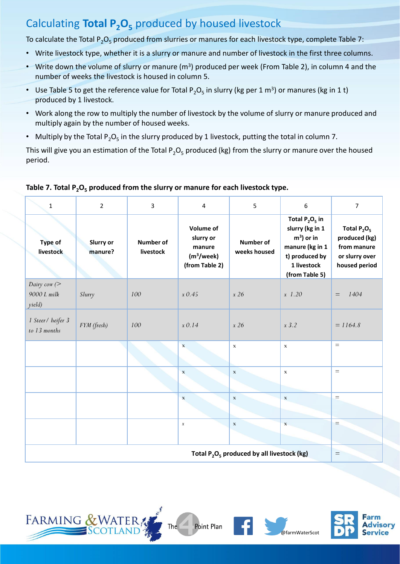## Calculating **Total P2O<sup>5</sup>** produced by housed livestock

To calculate the Total  $P_2O_5$  produced from slurries or manures for each livestock type, complete Table 7:

- Write livestock type, whether it is a slurry or manure and number of livestock in the first three columns.
- Write down the volume of slurry or manure ( $m<sup>3</sup>$ ) produced per week (From Table 2), in column 4 and the number of weeks the livestock is housed in column 5.
- Use Table 5 to get the reference value for Total P<sub>2</sub>O<sub>5</sub> in slurry (kg per 1 m<sup>3</sup>) or manures (kg in 1 t) produced by 1 livestock.
- Work along the row to multiply the number of livestock by the volume of slurry or manure produced and multiply again by the number of housed weeks.
- Multiply by the Total P<sub>2</sub>O<sub>5</sub> in the slurry produced by 1 livestock, putting the total in column 7.

This will give you an estimation of the Total  $P_2O_5$  produced (kg) from the slurry or manure over the housed period.

| $\mathbf{1}$                                  | $\overline{2}$              | $\overline{3}$                | 4                                                                                   | 5                         | 6                                                                                                                          | 7                                                                                 |
|-----------------------------------------------|-----------------------------|-------------------------------|-------------------------------------------------------------------------------------|---------------------------|----------------------------------------------------------------------------------------------------------------------------|-----------------------------------------------------------------------------------|
| Type of<br>livestock                          | <b>Slurry or</b><br>manure? | <b>Number of</b><br>livestock | <b>Volume of</b><br>slurry or<br>manure<br>(m <sup>3</sup> /week)<br>(from Table 2) | Number of<br>weeks housed | Total $P_2O_5$ in<br>slurry (kg in 1<br>$m3$ ) or in<br>manure (kg in 1<br>t) produced by<br>1 livestock<br>(from Table 5) | Total $P_2O_5$<br>produced (kg)<br>from manure<br>or slurry over<br>housed period |
| Dairy cow $($<br>9000 L milk<br>yield)        | Slurry                      | 100                           | $x$ 0.45                                                                            | x 26                      | $x\;1.20$                                                                                                                  | 1404<br>$\qquad \qquad =$                                                         |
| 1 Steer / heifer 3<br>to 13 months            | FYM (fresh)                 | 100                           | $x \, 0.14$                                                                         | x 26                      | $x\,3.2$                                                                                                                   | $= 1164.8$                                                                        |
|                                               |                             |                               | $\mathbf x$                                                                         | $\mathbf x$               | $\mathbf x$                                                                                                                | $=$                                                                               |
|                                               |                             |                               | $\mathbf x$                                                                         | $\mathbf X$               | $\mathbf x$                                                                                                                | $\equiv$                                                                          |
|                                               |                             |                               | $\mathbf X$                                                                         | $\mathbf x$               | $\mathbf x$                                                                                                                | $=$                                                                               |
|                                               |                             |                               | $\boldsymbol{X}$                                                                    | $\mathbf x$               | $\mathbf x$                                                                                                                | $=$                                                                               |
| Total $P_2O_5$ produced by all livestock (kg) |                             |                               |                                                                                     |                           |                                                                                                                            |                                                                                   |

#### **Table 7. Total P2O<sup>5</sup> produced from the slurry or manure for each livestock type.**





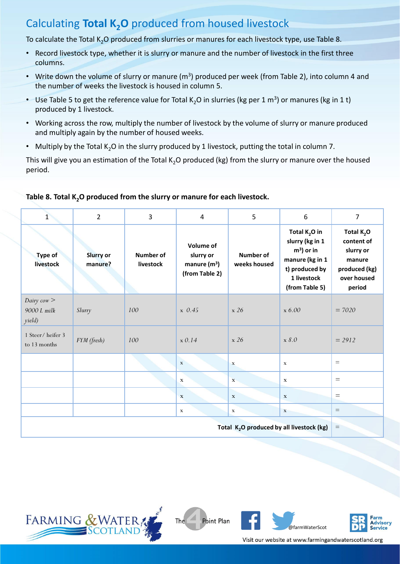### Calculating **Total K2O** produced from housed livestock

To calculate the Total K<sub>2</sub>O produced from slurries or manures for each livestock type, use Table 8.

- Record livestock type, whether it is slurry or manure and the number of livestock in the first three columns.
- Write down the volume of slurry or manure (m<sup>3</sup>) produced per week (from Table 2), into column 4 and the number of weeks the livestock is housed in column 5.
- Use Table 5 to get the reference value for Total K<sub>2</sub>O in slurries (kg per 1 m<sup>3</sup>) or manures (kg in 1 t) produced by 1 livestock.
- Working across the row, multiply the number of livestock by the volume of slurry or manure produced and multiply again by the number of housed weeks.
- Multiply by the Total  $K_2O$  in the slurry produced by 1 livestock, putting the total in column 7.

This will give you an estimation of the Total K<sub>2</sub>O produced (kg) from the slurry or manure over the housed period.

| $\overline{1}$                                        | $\overline{2}$       | 3                      | $\overline{4}$                                             | 5                         | 6                                                                                                                        | $\overline{7}$                                                                              |
|-------------------------------------------------------|----------------------|------------------------|------------------------------------------------------------|---------------------------|--------------------------------------------------------------------------------------------------------------------------|---------------------------------------------------------------------------------------------|
| <b>Type of</b><br>livestock                           | Slurry or<br>manure? | Number of<br>livestock | Volume of<br>slurry or<br>manure $(m^3)$<br>(from Table 2) | Number of<br>weeks housed | Total $K_2O$ in<br>slurry (kg in 1<br>$m3$ ) or in<br>manure (kg in 1<br>t) produced by<br>1 livestock<br>(from Table 5) | Total $K_2O$<br>content of<br>slurry or<br>manure<br>produced (kg)<br>over housed<br>period |
| Dairy $\cos$ ><br>9000 L milk<br>yield)               | Slurry               | 100                    | $x \, 0.45$                                                | x 26                      | $\boldsymbol{\mathrm{x}}$ 6.00                                                                                           | $= 7020$                                                                                    |
| 1 Steer/heifer 3<br>to 13 months                      | FYM (fresh)          | 100                    | $x$ 0.14                                                   | x 26                      | x 8.0                                                                                                                    | $= 2912$                                                                                    |
|                                                       |                      |                        | $\mathbf X$                                                | $\mathbf{x}$              | $\mathbf x$                                                                                                              | $=$                                                                                         |
|                                                       |                      |                        | $\mathbf X$                                                | $\mathbf{x}$              | $\mathbf x$                                                                                                              | $\equiv$                                                                                    |
|                                                       |                      |                        | $\mathbf{X}$                                               | $\mathbf x$               | $\mathbf x$                                                                                                              | $\equiv$                                                                                    |
|                                                       |                      |                        | $\mathbf X$                                                | $\mathbf x$               | $\mathbf{x}$                                                                                                             | $\hspace*{0.4em} = \hspace*{0.4em}$                                                         |
| Total K <sub>2</sub> O produced by all livestock (kg) |                      |                        |                                                            |                           |                                                                                                                          |                                                                                             |

#### **Table 8. Total K2O produced from the slurry or manure for each livestock.**







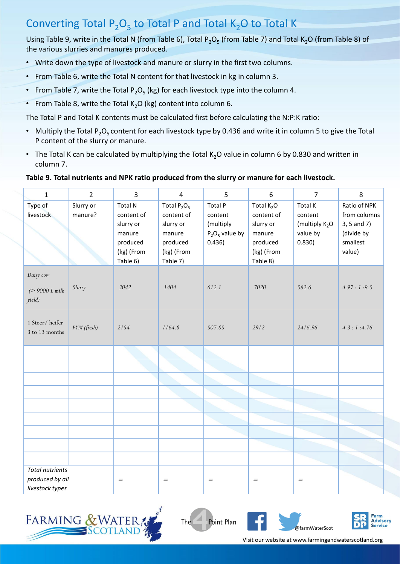# Converting Total  $P_2O_5$  to Total P and Total K<sub>2</sub>O to Total K

Using Table 9, write in the Total N (from Table 6), Total P<sub>2</sub>O<sub>5</sub> (from Table 7) and Total K<sub>2</sub>O (from Table 8) of the various slurries and manures produced.

- Write down the type of livestock and manure or slurry in the first two columns.
- From Table 6, write the Total N content for that livestock in kg in column 3.
- From Table 7, write the Total  $P_2O_5$  (kg) for each livestock type into the column 4.
- From Table 8, write the Total  $K_2O$  (kg) content into column 6.

The Total P and Total K contents must be calculated first before calculating the N:P:K ratio:

- Multiply the Total P<sub>2</sub>O<sub>5</sub> content for each livestock type by 0.436 and write it in column 5 to give the Total P content of the slurry or manure.
- The Total K can be calculated by multiplying the Total K<sub>2</sub>O value in column 6 by 0.830 and written in column 7.

#### **Table 9. Total nutrients and NPK ratio produced from the slurry or manure for each livestock.**

| $\mathbf{1}$              | $\overline{2}$ | 3                       | $\overline{4}$          | 5                    | 6                       | $\overline{7}$                        | 8                           |
|---------------------------|----------------|-------------------------|-------------------------|----------------------|-------------------------|---------------------------------------|-----------------------------|
| Type of                   | Slurry or      | <b>Total N</b>          | Total $P_2O_5$          | <b>Total P</b>       | Total $K_2O$            | Total K                               | Ratio of NPK                |
| livestock                 | manure?        | content of<br>slurry or | content of<br>slurry or | content<br>(multiply | content of<br>slurry or | content<br>(multiply K <sub>2</sub> O | from columns<br>3, 5 and 7) |
|                           |                | manure                  | manure                  | $P_2O_5$ value by    | manure                  | value by                              | (divide by                  |
|                           |                | produced                | produced                | 0.436)               | produced                | 0.830)                                | smallest                    |
|                           |                | (kg) (From              | (kg) (From              |                      | (kg) (From              |                                       | value)                      |
|                           |                | Table 6)                | Table 7)                |                      | Table 8)                |                                       |                             |
| Dairy cow                 |                |                         |                         |                      |                         |                                       |                             |
| $(> 9000 L \text{ milk})$ | Slurry         | 3042                    | 1404                    | 612.1                | 7020                    | 582.6                                 | 4.97:1:9.5                  |
| yield)                    |                |                         |                         |                      |                         |                                       |                             |
|                           |                |                         |                         |                      |                         |                                       |                             |
| 1 Steer/heifer            | FYM (fresh)    | 2184                    | 1164.8                  | 507.85               | 2912                    | 2416.96                               | 4.3:1:4.76                  |
| 3 to 13 months            |                |                         |                         |                      |                         |                                       |                             |
|                           |                |                         |                         |                      |                         |                                       |                             |
|                           |                |                         |                         |                      |                         |                                       |                             |
|                           |                |                         |                         |                      |                         |                                       |                             |
|                           |                |                         |                         |                      |                         |                                       |                             |
|                           |                |                         |                         |                      |                         |                                       |                             |
|                           |                |                         |                         |                      |                         |                                       |                             |
|                           |                |                         |                         |                      |                         |                                       |                             |
|                           |                |                         |                         |                      |                         |                                       |                             |
|                           |                |                         |                         |                      |                         |                                       |                             |
|                           |                |                         |                         |                      |                         |                                       |                             |
| <b>Total nutrients</b>    |                |                         |                         |                      |                         |                                       |                             |
| produced by all           |                | $\qquad \qquad =$       | $\qquad \qquad =$       | $=$                  | $\!=$                   | $\!\!\!=\!\!\!$                       |                             |
| livestock types           |                |                         |                         |                      |                         |                                       |                             |



Point Plan The



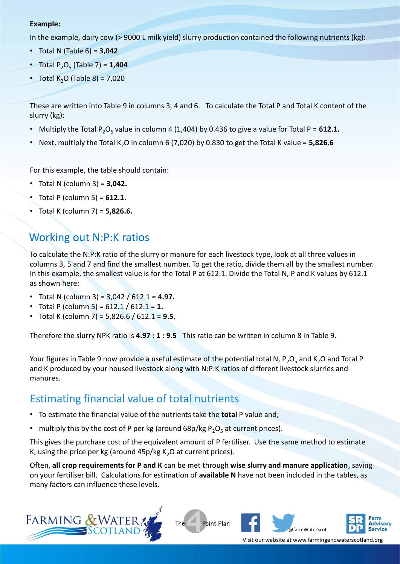#### **Example:**

In the example, dairy cow (> 9000 L milk yield) slurry production contained the following nutrients (kg):

- Total N (Table 6) = **3,042**
- Total P<sub>2</sub>O<sub>5</sub> (Table 7) = **1,404**
- Total K<sub>2</sub>O (Table 8) =  $7.020$

These are written into Table 9 in columns 3, 4 and 6. To calculate the Total P and Total K content of the slurry (kg):

- Multiply the Total P<sub>2</sub>O<sub>5</sub> value in column 4 (1,404) by 0.436 to give a value for Total P = 612.1.
- Next, multiply the Total K<sub>2</sub>O in column 6 (7,020) by 0.830 to get the Total K value =  $5,826.6$

For this example, the table should contain:

- Total N (column 3) = **3,042.**
- Total P (column 5) = **612.1.**
- Total K (column 7) = **5,826.6.**

### Working out N:P:K ratios

To calculate the N:P:K ratio of the slurry or manure for each livestock type, look at all three values in columns 3, 5 and 7 and find the smallest number. To get the ratio, divide them all by the smallest number. In this example, the smallest value is for the Total P at 612.1. Divide the Total N, P and K values by 612.1 as shown here:

- Total N (column 3) = 3,042 / 612.1 = **4.97.**
- Total P (column 5) = 612.1 / 612.1 = **1.**
- Total K (column 7) = 5,826.6 / 612.1 = **9.5.**

Therefore the slurry NPK ratio is **4.97 : 1 : 9.5** This ratio can be written in column 8 in Table 9.

Your figures in Table 9 now provide a useful estimate of the potential total N, P<sub>2</sub>O<sub>5</sub> and K<sub>2</sub>O and Total P and K produced by your housed livestock along with N:P:K ratios of different livestock slurries and manures.

### Estimating financial value of total nutrients

- To estimate the financial value of the nutrients take the **total** P value and;
- multiply this by the cost of P per kg (around 68p/kg  $P_2O_5$  at current prices).

This gives the purchase cost of the equivalent amount of P fertiliser. Use the same method to estimate K, using the price per kg (around  $45p/kg K<sub>2</sub>O$  at current prices).

Often, **all crop requirements for P and K** can be met through **wise slurry and manure application**, saving on your fertiliser bill. Calculations for estimation of **available N** have not been included in the tables, as many factors can influence these levels.